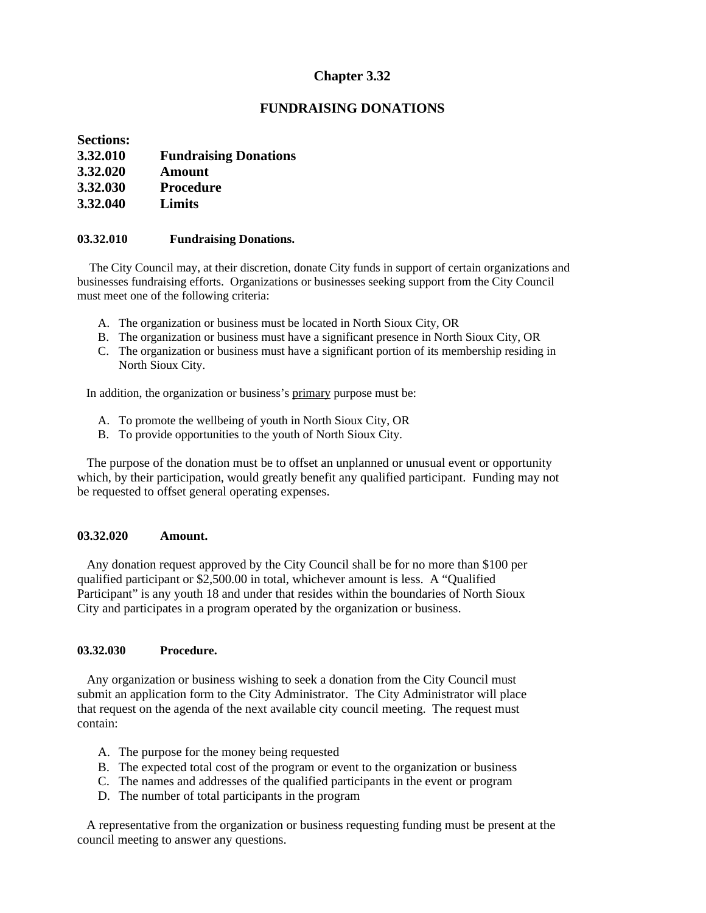## **Chapter 3.32**

## **FUNDRAISING DONATIONS**

**Sections:**

- **3.32.010 Fundraising Donations**
- **3.32.020 Amount**
- **3.32.030 Procedure**
- **3.32.040 Limits**

#### **03.32.010 Fundraising Donations.**

 The City Council may, at their discretion, donate City funds in support of certain organizations and businesses fundraising efforts. Organizations or businesses seeking support from the City Council must meet one of the following criteria:

- A. The organization or business must be located in North Sioux City, OR
- B. The organization or business must have a significant presence in North Sioux City, OR
- C. The organization or business must have a significant portion of its membership residing in North Sioux City.

In addition, the organization or business's primary purpose must be:

- A. To promote the wellbeing of youth in North Sioux City, OR
- B. To provide opportunities to the youth of North Sioux City.

 The purpose of the donation must be to offset an unplanned or unusual event or opportunity which, by their participation, would greatly benefit any qualified participant. Funding may not be requested to offset general operating expenses.

### **03.32.020 Amount.**

 Any donation request approved by the City Council shall be for no more than \$100 per qualified participant or \$2,500.00 in total, whichever amount is less. A "Qualified Participant" is any youth 18 and under that resides within the boundaries of North Sioux City and participates in a program operated by the organization or business.

### **03.32.030 Procedure.**

 Any organization or business wishing to seek a donation from the City Council must submit an application form to the City Administrator. The City Administrator will place that request on the agenda of the next available city council meeting. The request must contain:

- A. The purpose for the money being requested
- B. The expected total cost of the program or event to the organization or business
- C. The names and addresses of the qualified participants in the event or program
- D. The number of total participants in the program

 A representative from the organization or business requesting funding must be present at the council meeting to answer any questions.